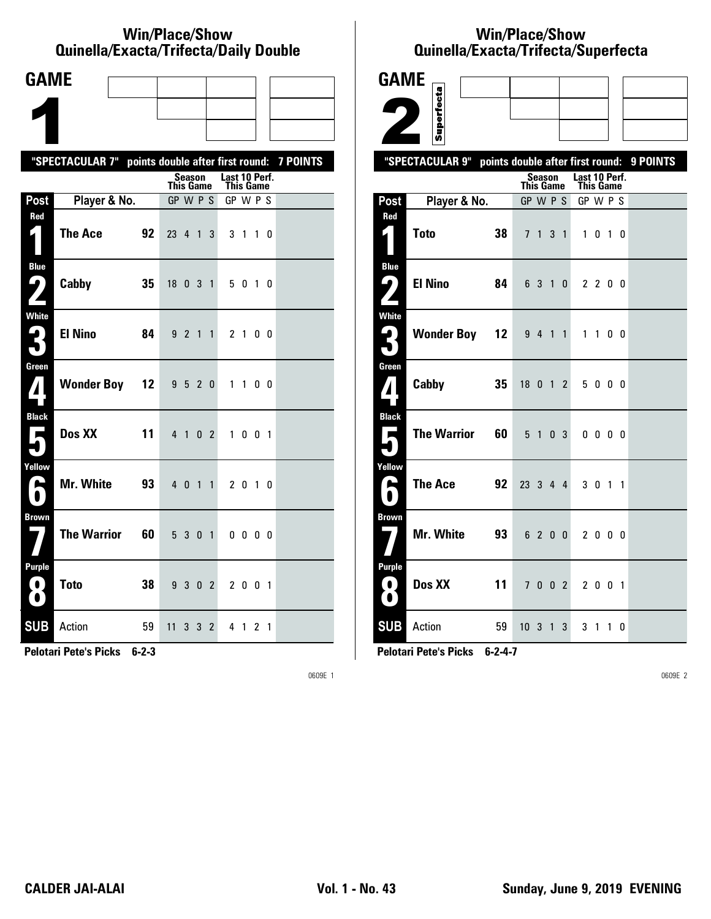#### **Win/Place/Show Qui nel la/Exacta/Tri fecta/Daily Dou ble**

| <b>GAME</b>                              |                                                           |    |                  |         |                |                |                            |                |                |  |
|------------------------------------------|-----------------------------------------------------------|----|------------------|---------|----------------|----------------|----------------------------|----------------|----------------|--|
|                                          |                                                           |    |                  |         |                |                |                            |                |                |  |
|                                          |                                                           |    |                  |         |                |                |                            |                |                |  |
|                                          | "SPECTACULAR 7" points double after first round: 7 POINTS |    |                  |         |                |                |                            |                |                |  |
|                                          |                                                           |    | <b>This Game</b> | Season  |                |                | Last 10 Perf.<br>This Game |                |                |  |
| Post                                     | Player & No.                                              |    | GP W P S         |         |                |                | GP W P S                   |                |                |  |
| Red<br>1                                 | <b>The Ace</b>                                            | 92 | 23 4 1           |         |                | 3              |                            | 3 1 1 0        |                |  |
| <b>Blue</b><br>9                         | Cabby                                                     | 35 | 18 0 3 1         |         |                |                |                            | 5 0 1 0        |                |  |
| White<br>ŕ.<br>$\bullet$                 | <b>El Nino</b>                                            | 84 |                  | 9 2 1 1 |                |                |                            | 2 <sub>1</sub> | 0 <sub>0</sub> |  |
| Green<br>$\mathbf{Z}$                    | <b>Wonder Boy 12</b>                                      |    |                  | 9520    |                |                |                            | $1\quad1$      | 00             |  |
| <b>Black</b><br>$\overline{\phantom{a}}$ | Dos XX                                                    | 11 |                  | 4 1 0 2 |                |                |                            | 1001           |                |  |
| Yellow<br>A                              | <b>Mr. White</b>                                          | 93 |                  | 4 0 1 1 |                |                |                            | 2 0 1 0        |                |  |
| <b>Brown</b>                             | <b>The Warrior</b>                                        | 60 |                  | 5 3 0 1 |                |                |                            | $0\,0\,0\,0$   |                |  |
| <b>Purple</b><br>$\left( 0\right)$<br>O  | <b>Toto</b>                                               | 38 |                  | 9 3 0 2 |                |                |                            | 2 0 0 1        |                |  |
| <b>SUB</b>                               | Action                                                    | 59 | 11               | 3       | 3 <sup>1</sup> | $\overline{2}$ |                            | 4 1 2 1        |                |  |

**Pelotari Pete's Picks 6-2-3**

0609E 1

# **Win/Place/Show Qui nel la/Exacta/Tri fecta/Super fecta**

| <b>GAME</b>                                  |                          |                                            |                     |                              |           |          |
|----------------------------------------------|--------------------------|--------------------------------------------|---------------------|------------------------------|-----------|----------|
|                                              |                          |                                            |                     |                              |           |          |
|                                              | Superfecta               |                                            |                     |                              |           |          |
|                                              | "SPECTACULAR 9"          |                                            |                     |                              |           | 9 POINTS |
|                                              |                          | points double after first round:<br>Season |                     | Last 10 Perf.                |           |          |
| Post                                         | Player & No.             | <b>This Game</b><br>GP W P S               |                     | <b>This Game</b><br>GP W P S |           |          |
| Red                                          |                          |                                            |                     |                              |           |          |
| $\zeta_{\perp}$                              | <b>Toto</b><br>38        | 7 <sup>1</sup><br>$\mathbf{1}$             | 3<br>$\overline{1}$ | $\mathbf{1}$                 | $0$ 1 $0$ |          |
| <b>Blue</b><br>ر ما                          | <b>El Nino</b><br>84     | 6 3 1                                      | $\mathbf{0}$        | 2200                         |           |          |
| <b>White</b><br>$\mathbf{G}$                 | <b>Wonder Boy 12</b>     | 9 4 1 1                                    |                     | 1 1 0 0                      |           |          |
| Green<br>7                                   | Cabby<br>35              | 18 0 1 2                                   |                     | 5000                         |           |          |
| <b>Black</b><br>п                            | <b>The Warrior</b><br>60 | 5 <sub>1</sub>                             | 0 <sup>3</sup>      | $0\,0\,0\,0$                 |           |          |
| Yellow<br>A                                  | <b>The Ace</b><br>92     | 23 3 4 4                                   |                     | 3 0 1 1                      |           |          |
| <b>Brown</b>                                 | Mr. White<br>93          | 6 2 0 0                                    |                     | 2000                         |           |          |
| <b>Purple</b><br>$\blacksquare$<br>$\bullet$ | Dos XX<br>11             | 7 <sup>7</sup>                             | $0 \t0 \t2$         | 2001                         |           |          |
| <b>SUB</b>                                   | Action<br>59             | $10 \t3 \t1 \t3$                           |                     | 3 <sub>1</sub>               | 1 0       |          |

**Pelotari Pete's Picks 6-2-4-7**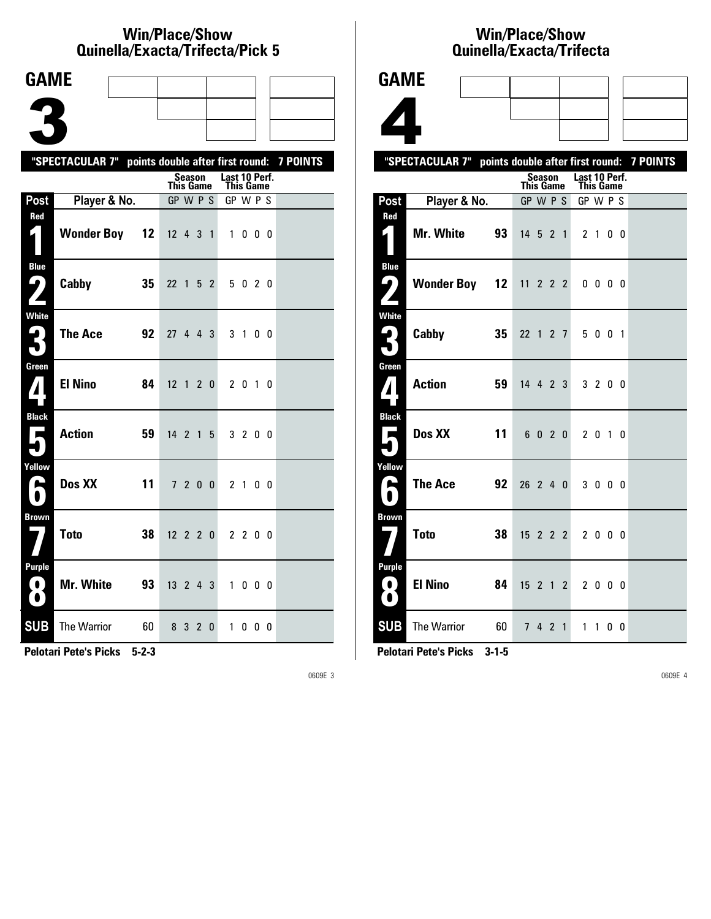#### **Win/Place/Show Qui nel la/Exacta/Tri fecta/Pick 5**

| <b>GAME</b>                             |                                                           |    |                              |         |                 |                |               |           |                |  |
|-----------------------------------------|-----------------------------------------------------------|----|------------------------------|---------|-----------------|----------------|---------------|-----------|----------------|--|
|                                         |                                                           |    |                              |         |                 |                |               |           |                |  |
|                                         |                                                           |    |                              |         |                 |                |               |           |                |  |
|                                         |                                                           |    |                              |         |                 |                |               |           |                |  |
|                                         | "SPECTACULAR 7" points double after first round: 7 POINTS |    |                              | Season  |                 |                | Last 10 Perf. |           |                |  |
| Post                                    | Player & No.                                              |    | <b>This Game</b><br>GP W P S |         |                 |                | GP W P S      | This Game |                |  |
| Red                                     |                                                           |    |                              |         |                 |                |               |           |                |  |
| 1                                       | <b>Wonder Boy</b>                                         | 12 | $12$ 4 3 1                   |         |                 |                |               | 1000      |                |  |
| <b>Blue</b><br>$\mathsf{L}_{\bm{\ell}}$ | Cabby                                                     | 35 | 22 1                         |         |                 | 5 <sub>2</sub> |               | 5 0 2 0   |                |  |
| <b>White</b><br>2<br>$\bullet$          | <b>The Ace</b>                                            | 92 | 27 4 4 3                     |         |                 |                |               | 3 1       | 0 <sub>0</sub> |  |
| Green                                   | <b>El Nino</b>                                            | 84 | $12 \t1 \t2 \t0$             |         |                 |                |               | 2 0 1 0   |                |  |
| <b>Black</b><br>Е                       | <b>Action</b>                                             | 59 | 14 <sub>2</sub>              |         | $1\overline{5}$ |                |               | 3 2 0 0   |                |  |
| Yellow<br>L                             | Dos XX                                                    | 11 |                              | 7 2 0 0 |                 |                | 21            |           | 0 O            |  |
| <b>Brown</b>                            | <b>Toto</b>                                               | 38 | $12$ 2 2 0                   |         |                 |                |               | 2 2 0 0   |                |  |
| Purple<br>. O .<br>$\bullet$            | Mr. White                                                 | 93 | $13 \t2 \t4 \t3$             |         |                 |                |               | 1000      |                |  |
| <b>SUB</b>                              | <b>The Warrior</b>                                        | 60 | 8                            | 3       |                 | 2 <sub>0</sub> |               | 1000      |                |  |

**Pelotari Pete's Picks 5-2-3**

0609E 3

### **Win/Place/Show Qui nel la/Exacta/Tri fecta**

|                              | Quilielia/Exacta/Trilecta |    |                  |               |  |                                   |                |                |                                           |
|------------------------------|---------------------------|----|------------------|---------------|--|-----------------------------------|----------------|----------------|-------------------------------------------|
| <b>GAME</b>                  |                           |    |                  |               |  |                                   |                |                |                                           |
|                              |                           |    |                  |               |  |                                   |                |                |                                           |
|                              |                           |    |                  |               |  |                                   |                |                |                                           |
|                              | "SPECTACULAR 7"           |    |                  |               |  |                                   |                |                | points double after first round: 7 POINTS |
|                              |                           |    | This Game        | <b>Season</b> |  | Last 10 Perf.<br><b>This Game</b> |                |                |                                           |
| Post                         | Player & No.              |    | GP W P S         |               |  | GP W P S                          |                |                |                                           |
| Red<br>$\blacksquare$        | Mr. White 93              |    | $14 \t5 \t2 \t1$ |               |  |                                   | 2 <sub>1</sub> | 0 <sub>0</sub> |                                           |
| <b>Blue</b><br>9)            | <b>Wonder Boy 12</b>      |    | $11 \t2 \t2 \t2$ |               |  |                                   | 0000           |                |                                           |
| <b>White</b><br>$\mathbf{P}$ | Cabby                     | 35 | 22 1 2 7         |               |  |                                   | 5 0 0 1        |                |                                           |
| Green<br>7                   | <b>Action</b>             | 59 | $14$ 4 2 3       |               |  |                                   | 3 2 0 0        |                |                                           |
| <b>Black</b><br>東            | Dos XX                    | 11 |                  | 6 0 2 0       |  |                                   | 2 0 1 0        |                |                                           |
| Yellow<br>r.                 | <b>The Ace</b>            | 92 | 26 2 4 0         |               |  |                                   | 3 0 0 0        |                |                                           |
| <b>Brown</b><br>7            | <b>Toto</b>               | 38 | 15 2 2 2         |               |  |                                   | 2000           |                |                                           |

**Pelotari Pete's Picks 3-1-5**

**8 El Nino 84** 15 2 1 2 2 0 0 0

**SUB** The Warrior 60 7 4 2 1 1 1 0 0

**Pur ple**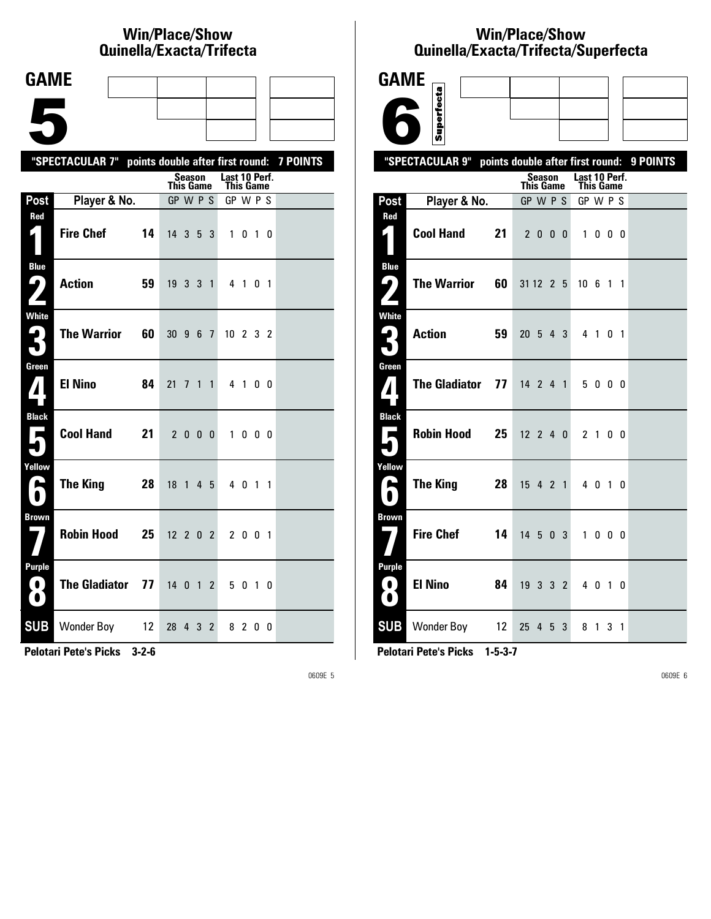# **Win/Place/Show Qui nel la/Exacta/Tri fecta**

| <b>GAME</b>                                   |                                      |                                                           |
|-----------------------------------------------|--------------------------------------|-----------------------------------------------------------|
|                                               |                                      |                                                           |
|                                               |                                      |                                                           |
|                                               |                                      | "SPECTACULAR 7" points double after first round: 7 POINTS |
|                                               |                                      | Last 10 Perf.<br>Season<br><b>This Game</b><br>This Game  |
| Post                                          | Player & No.                         | GP W P S<br>GP W P S                                      |
| Red                                           | <b>Fire Chef</b><br>14               | $14 \quad 3 \quad 5$<br>3<br>1 0 1 0                      |
| <b>Blue</b><br>9)<br>$\mathbf{Z}$             | <b>Action</b><br>59                  | $19$ 3 3 1<br>4 1 0 1                                     |
| <b>White</b><br>3                             | <b>The Warrior</b><br>60             | 30 9 6 7<br>$10 \t2 \t3 \t2$                              |
| Green<br>$\mathbf{Z}$                         | <b>El Nino</b><br>84                 | 21 7 1 1<br>4 1 0 0                                       |
| <b>Black</b><br>$\blacksquare$                | <b>Cool Hand</b><br>21               | 2 0 0 0<br>1000                                           |
| Yellow<br>A                                   | The King<br>28                       | 18 <sup>1</sup><br>$4\overline{5}$<br>4 0 1 1             |
| <b>Brown</b>                                  | <b>Robin Hood</b><br>25              | $12 \t2 \t0 \t2$<br>2 0 0 1                               |
| <b>Purple</b><br>$\left( 0\right)$<br>$\bf O$ | The Gladiator 77                     | 14012<br>5 0 1 0                                          |
| <b>SUB</b>                                    | Wonder Boy 12<br><b>TRAINER COOP</b> | 28 4 3<br>$\overline{2}$<br>8200                          |

**Pelotari Pete's Picks 3-2-6**

0609E 5

# **Win/Place/Show Qui nel la/Exacta/Tri fecta/Super fecta**

| <b>GAME</b>                      |                                                  |                     |                 |                            |          |
|----------------------------------|--------------------------------------------------|---------------------|-----------------|----------------------------|----------|
|                                  | Superfecta                                       |                     |                 |                            |          |
|                                  |                                                  |                     |                 |                            |          |
|                                  | "SPECTACULAR 9" points double after first round: |                     |                 |                            | 9 POINTS |
|                                  |                                                  | Season<br>This Game |                 | Last 10 Perf.<br>This Game |          |
| Post                             | Player & No.                                     | GP W P S            |                 | GP W P S                   |          |
| Red<br>И.                        | <b>Cool Hand</b><br>21                           | 2000                |                 | 1000                       |          |
| <b>Blue</b><br>ر ف               | <b>The Warrior</b><br>60                         | 31 12 2 5           | 10 <sub>6</sub> | 1 1                        |          |
| <b>White</b>                     | <b>Action</b><br>59                              | $20 \t5 \t4 \t3$    |                 | 4 1 0 1                    |          |
| Green<br>$\boldsymbol{I}$        | <b>The Gladiator</b><br>77                       | $14$ 2 4 1          |                 | 5000                       |          |
| <b>Black</b>                     | <b>Robin Hood</b><br>25                          | $12$ 2 4 0          |                 | 2 1                        | 0 0      |
| Yellow<br>е                      | <b>The King</b><br>28                            | $15$ 4 2 1          |                 | 4 0 1 0                    |          |
| <b>Brown</b>                     | <b>Fire Chef</b><br>14                           | $14 \t5 \t0 \t3$    |                 | 1000                       |          |
| <b>Purple</b><br>O.<br>$\bullet$ | <b>El Nino</b><br>84                             | 19<br>3 3 2         |                 | 4 0 1 0                    |          |
| <b>SUB</b>                       | Wonder Boy 12                                    | 25 4 5 3            |                 | 8 1 3 1                    |          |

**Pelotari Pete's Picks 1-5-3-7**